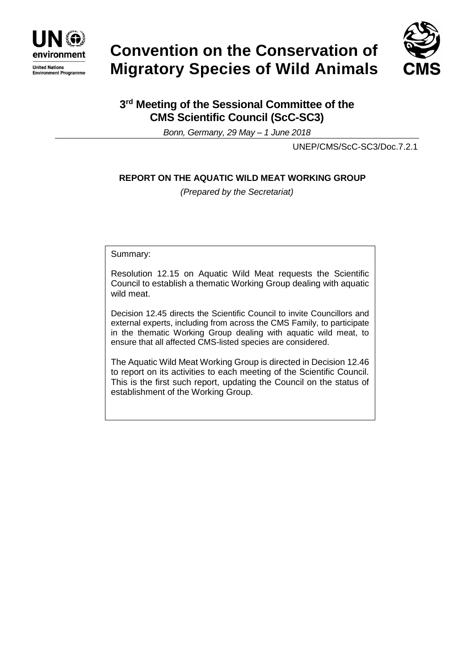

# **Convention on the Conservation of Migratory Species of Wild Animals**



# **3 rd Meeting of the Sessional Committee of the CMS Scientific Council (ScC-SC3)**

*Bonn, Germany, 29 May – 1 June 2018*

UNEP/CMS/ScC-SC3/Doc.7.2.1

# **REPORT ON THE AQUATIC WILD MEAT WORKING GROUP**

*(Prepared by the Secretariat)*

Summary:

Resolution 12.15 on Aquatic Wild Meat requests the Scientific Council to establish a thematic Working Group dealing with aquatic wild meat.

Decision 12.45 directs the Scientific Council to invite Councillors and external experts, including from across the CMS Family, to participate in the thematic Working Group dealing with aquatic wild meat, to ensure that all affected CMS-listed species are considered.

The Aquatic Wild Meat Working Group is directed in Decision 12.46 to report on its activities to each meeting of the Scientific Council. This is the first such report, updating the Council on the status of establishment of the Working Group.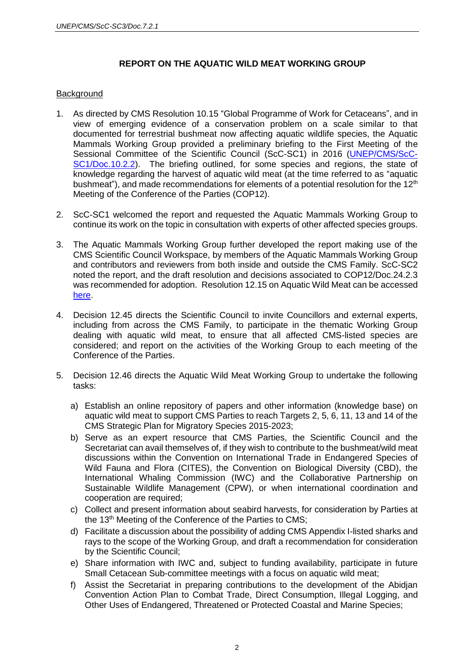## **REPORT ON THE AQUATIC WILD MEAT WORKING GROUP**

### **Background**

- 1. As directed by CMS Resolution 10.15 "Global Programme of Work for Cetaceans", and in view of emerging evidence of a conservation problem on a scale similar to that documented for terrestrial bushmeat now affecting aquatic wildlife species, the Aquatic Mammals Working Group provided a preliminary briefing to the First Meeting of the Sessional Committee of the Scientific Council (ScC-SC1) in 2016 [\(UNEP/CMS/ScC-](http://www.cms.int/en/document/aquatic-bushmeat)[SC1/Doc.10.2.2\)](http://www.cms.int/en/document/aquatic-bushmeat). The briefing outlined, for some species and regions, the state of knowledge regarding the harvest of aquatic wild meat (at the time referred to as "aquatic bushmeat"), and made recommendations for elements of a potential resolution for the  $12<sup>th</sup>$ Meeting of the Conference of the Parties (COP12).
- 2. ScC-SC1 welcomed the report and requested the Aquatic Mammals Working Group to continue its work on the topic in consultation with experts of other affected species groups.
- 3. The Aquatic Mammals Working Group further developed the report making use of the CMS Scientific Council Workspace, by members of the Aquatic Mammals Working Group and contributors and reviewers from both inside and outside the CMS Family. ScC-SC2 noted the report, and the draft resolution and decisions associated to COP12/Doc.24.2.3 was recommended for adoption. Resolution 12.15 on Aquatic Wild Meat can be accessed [here.](http://www.cms.int/en/document/aquatic-wild-meat-1)
- 4. Decision 12.45 directs the Scientific Council to invite Councillors and external experts, including from across the CMS Family, to participate in the thematic Working Group dealing with aquatic wild meat, to ensure that all affected CMS-listed species are considered; and report on the activities of the Working Group to each meeting of the Conference of the Parties.
- 5. Decision 12.46 directs the Aquatic Wild Meat Working Group to undertake the following tasks:
	- a) Establish an online repository of papers and other information (knowledge base) on aquatic wild meat to support CMS Parties to reach Targets 2, 5, 6, 11, 13 and 14 of the CMS Strategic Plan for Migratory Species 2015-2023;
	- b) Serve as an expert resource that CMS Parties, the Scientific Council and the Secretariat can avail themselves of, if they wish to contribute to the bushmeat/wild meat discussions within the Convention on International Trade in Endangered Species of Wild Fauna and Flora (CITES), the Convention on Biological Diversity (CBD), the International Whaling Commission (IWC) and the Collaborative Partnership on Sustainable Wildlife Management (CPW), or when international coordination and cooperation are required;
	- c) Collect and present information about seabird harvests, for consideration by Parties at the 13<sup>th</sup> Meeting of the Conference of the Parties to CMS;
	- d) Facilitate a discussion about the possibility of adding CMS Appendix I-listed sharks and rays to the scope of the Working Group, and draft a recommendation for consideration by the Scientific Council;
	- e) Share information with IWC and, subject to funding availability, participate in future Small Cetacean Sub-committee meetings with a focus on aquatic wild meat;
	- f) Assist the Secretariat in preparing contributions to the development of the Abidjan Convention Action Plan to Combat Trade, Direct Consumption, Illegal Logging, and Other Uses of Endangered, Threatened or Protected Coastal and Marine Species;